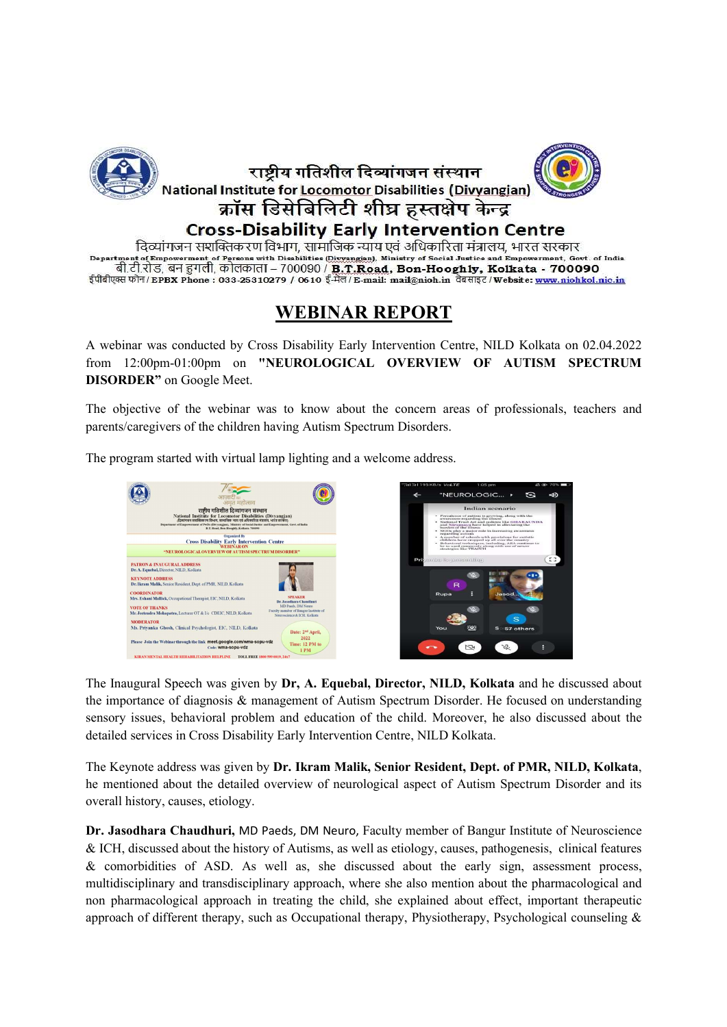

दिव्यांगजन सशक्तिकरण विभाग, सामाजिक न्याय एवं अधिकारिता मंत्रालय, भारत सरकार nt of Empowerment of Persons with Disabilities (Divyangian), Ministry of Social Justice and Empowerment, Govt. of India बी.टी.रोड, बन हुगली, कोलकाता – 700090 / **B.T.Road, Bon-Hooghly, Kolkata - 700090** ईपीबीएक्स फोन/EPBX Phone: 033-25310279 / 0610 ई-मेल/E-mail: mail@nioh.in वेबसाइट/Website: www.niohkol.nic.in

## WEBINAR REPORT

A webinar was conducted by Cross Disability Early Intervention Centre, NILD Kolkata on 02.04.2022 from 12:00pm-01:00pm on "NEUROLOGICAL OVERVIEW OF AUTISM SPECTRUM DISORDER" on Google Meet.

The objective of the webinar was to know about the concern areas of professionals, teachers and parents/caregivers of the children having Autism Spectrum Disorders.

The program started with virtual lamp lighting and a welcome address.



the importance of diagnosis & management of Autism Spectrum Disorder. He focused on understanding sensory issues, behavioral problem and education of the child. Moreover, he also discussed about the detailed services in Cross Disability Early Intervention Centre, NILD Kolkata.

The Keynote address was given by Dr. Ikram Malik, Senior Resident, Dept. of PMR, NILD, Kolkata, he mentioned about the detailed overview of neurological aspect of Autism Spectrum Disorder and its overall history, causes, etiology.

Dr. Jasodhara Chaudhuri, MD Paeds, DM Neuro, Faculty member of Bangur Institute of Neuroscience & ICH, discussed about the history of Autisms, as well as etiology, causes, pathogenesis, clinical features & comorbidities of ASD. As well as, she discussed about the early sign, assessment process, multidisciplinary and transdisciplinary approach, where she also mention about the pharmacological and non pharmacological approach in treating the child, she explained about effect, important therapeutic approach of different therapy, such as Occupational therapy, Physiotherapy, Psychological counseling &